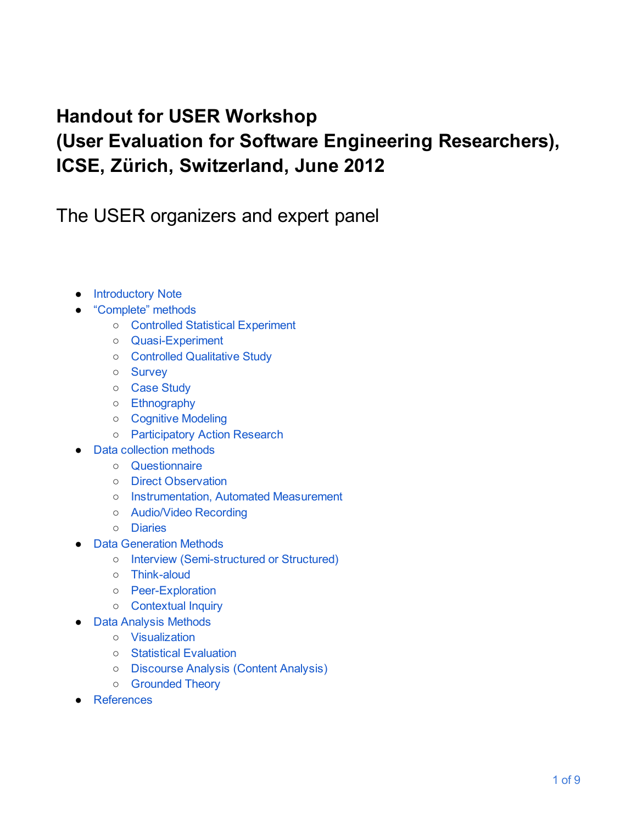## **Handout for USER Workshop**

# **(User Evaluation for Software Engineering Researchers), ICSE, Zürich, Switzerland, June 2012**

The USER organizers and expert panel

- Introductory Note
- "Complete" methods
	- Controlled Statistical Experiment
	- QuasiExperiment
	- Controlled Qualitative Study
	- Survey
	- Case Study
	- Ethnography
	- Cognitive Modeling
	- Participatory Action Research
- Data collection methods
	- Questionnaire
	- Direct Observation
	- Instrumentation, Automated Measurement
	- Audio/Video Recording
	- Diaries
- Data Generation Methods
	- Interview (Semistructured or Structured)
	- o Think-aloud
	- PeerExploration
	- Contextual Inquiry
- Data Analysis Methods
	- Visualization
	- Statistical Evaluation
	- Discourse Analysis (Content Analysis)
	- Grounded Theory
- References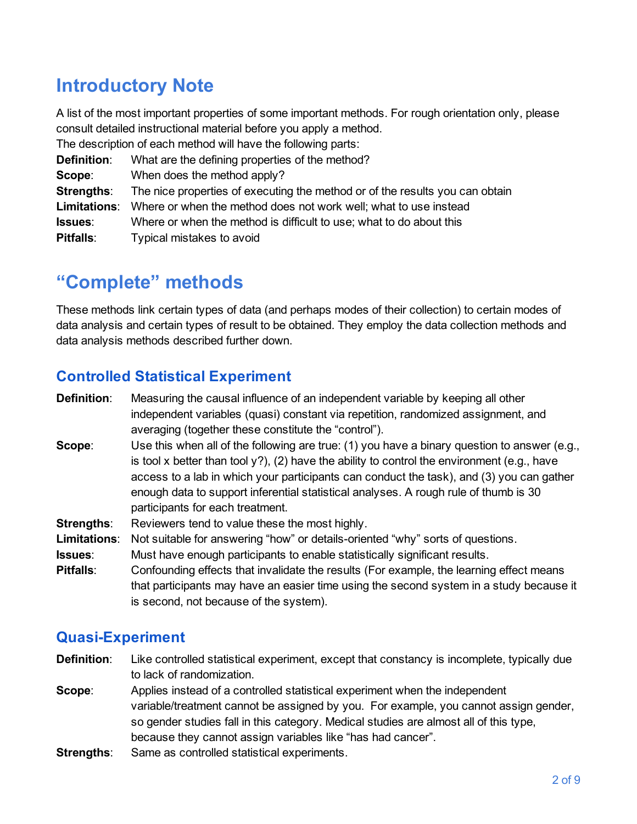## **Introductory Note**

A list of the most important properties of some important methods. For rough orientation only, please consult detailed instructional material before you apply a method.

The description of each method will have the following parts:

| <b>Definition:</b> | What are the defining properties of the method?                                      |
|--------------------|--------------------------------------------------------------------------------------|
| Scope:             | When does the method apply?                                                          |
| <b>Strengths:</b>  | The nice properties of executing the method or of the results you can obtain         |
|                    | <b>Limitations:</b> Where or when the method does not work well; what to use instead |
| Issues:            | Where or when the method is difficult to use; what to do about this                  |
| <b>Pitfalls:</b>   | Typical mistakes to avoid                                                            |

## **"Complete" methods**

These methods link certain types of data (and perhaps modes of their collection) to certain modes of data analysis and certain types of result to be obtained. They employ the data collection methods and data analysis methods described further down.

## **Controlled Statistical Experiment**

| <b>Definition:</b>  | Measuring the causal influence of an independent variable by keeping all other                 |
|---------------------|------------------------------------------------------------------------------------------------|
|                     | independent variables (quasi) constant via repetition, randomized assignment, and              |
|                     | averaging (together these constitute the "control").                                           |
| Scope:              | Use this when all of the following are true: (1) you have a binary question to answer (e.g.,   |
|                     | is tool x better than tool $y$ ?), (2) have the ability to control the environment (e.g., have |
|                     | access to a lab in which your participants can conduct the task), and (3) you can gather       |
|                     | enough data to support inferential statistical analyses. A rough rule of thumb is 30           |
|                     | participants for each treatment.                                                               |
| Strengths:          | Reviewers tend to value these the most highly.                                                 |
| <b>Limitations:</b> | Not suitable for answering "how" or details-oriented "why" sorts of questions.                 |
| <b>Issues:</b>      | Must have enough participants to enable statistically significant results.                     |
| <b>Pitfalls:</b>    | Confounding effects that invalidate the results (For example, the learning effect means        |
|                     | that participants may have an easier time using the second system in a study because it        |
|                     | is second, not because of the system).                                                         |
|                     |                                                                                                |

## **Quasi-Experiment**

**Definition**: Like controlled statistical experiment, except that constancy is incomplete, typically due to lack of randomization.

- **Scope:** Applies instead of a controlled statistical experiment when the independent variable/treatment cannot be assigned by you. For example, you cannot assign gender, so gender studies fall in this category. Medical studies are almost all of this type, because they cannot assign variables like "has had cancer".
- **Strengths:** Same as controlled statistical experiments.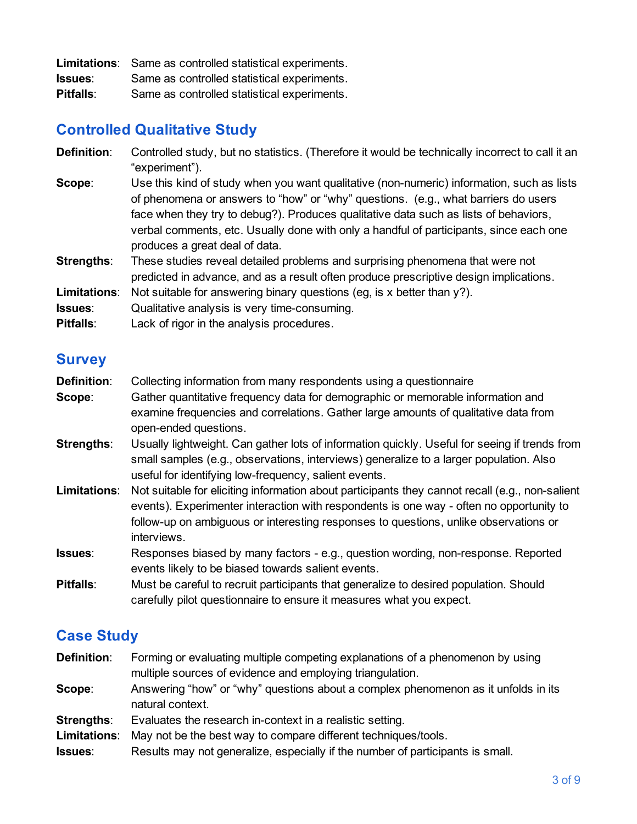|                  | <b>Limitations:</b> Same as controlled statistical experiments. |
|------------------|-----------------------------------------------------------------|
| <b>Issues:</b>   | Same as controlled statistical experiments.                     |
| <b>Pitfalls:</b> | Same as controlled statistical experiments.                     |

#### **Controlled Qualitative Study**

| <b>Definition:</b>  | Controlled study, but no statistics. (Therefore it would be technically incorrect to call it an<br>"experiment").                                                                                                                                                                                                                                                                                   |
|---------------------|-----------------------------------------------------------------------------------------------------------------------------------------------------------------------------------------------------------------------------------------------------------------------------------------------------------------------------------------------------------------------------------------------------|
| Scope:              | Use this kind of study when you want qualitative (non-numeric) information, such as lists<br>of phenomena or answers to "how" or "why" questions. (e.g., what barriers do users<br>face when they try to debug?). Produces qualitative data such as lists of behaviors,<br>verbal comments, etc. Usually done with only a handful of participants, since each one<br>produces a great deal of data. |
| Strengths:          | These studies reveal detailed problems and surprising phenomena that were not<br>predicted in advance, and as a result often produce prescriptive design implications.                                                                                                                                                                                                                              |
| <b>Limitations:</b> | Not suitable for answering binary questions (eg, is x better than $y$ ?).                                                                                                                                                                                                                                                                                                                           |
| Issues:             | Qualitative analysis is very time-consuming.                                                                                                                                                                                                                                                                                                                                                        |
| <b>Pitfalls:</b>    | Lack of rigor in the analysis procedures.                                                                                                                                                                                                                                                                                                                                                           |

#### **Survey**

- **Definition:** Collecting information from many respondents using a questionnaire **Scope**: Gather quantitative frequency data for demographic or memorable information and examine frequencies and correlations. Gather large amounts of qualitative data from open-ended questions.
- **Strengths:** Usually lightweight. Can gather lots of information quickly. Useful for seeing if trends from small samples (e.g., observations, interviews) generalize to a larger population. Also useful for identifying low-frequency, salient events.
- **Limitations**: Not suitable for eliciting information about participants they cannot recall (e.g., nonsalient events). Experimenter interaction with respondents is one way - often no opportunity to follow-up on ambiguous or interesting responses to questions, unlike observations or interviews.
- **Issues:** Responses biased by many factors e.g., question wording, non-response. Reported events likely to be biased towards salient events.

**Pitfalls**: Must be careful to recruit participants that generalize to desired population. Should carefully pilot questionnaire to ensure it measures what you expect.

### **Case Study**

- **Definition:** Forming or evaluating multiple competing explanations of a phenomenon by using multiple sources of evidence and employing triangulation.
- **Scope**: Answering "how" or "why" questions about a complex phenomenon as it unfolds in its natural context.
- **Strengths:** Evaluates the research in-context in a realistic setting.
- **Limitations**: May not be the best way to compare different techniques/tools.
- **Issues**: Results may not generalize, especially if the number of participants is small.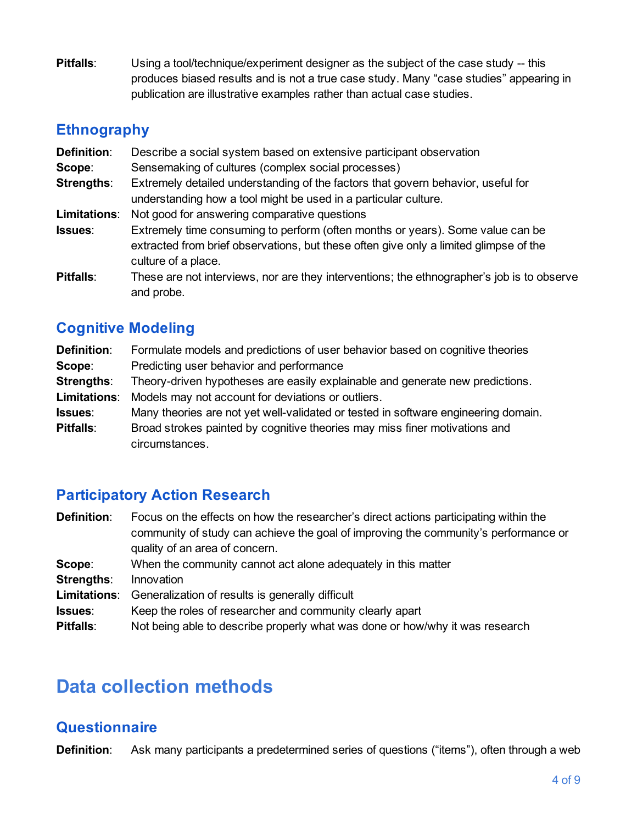**Pitfalls:** Using a tool/technique/experiment designer as the subject of the case study -- this produces biased results and is not a true case study. Many "case studies" appearing in publication are illustrative examples rather than actual case studies.

#### **Ethnography**

| <b>Definition:</b> | Describe a social system based on extensive participant observation                                                                                                                            |  |
|--------------------|------------------------------------------------------------------------------------------------------------------------------------------------------------------------------------------------|--|
| Scope:             | Sensemaking of cultures (complex social processes)                                                                                                                                             |  |
| <b>Strengths:</b>  | Extremely detailed understanding of the factors that govern behavior, useful for<br>understanding how a tool might be used in a particular culture.                                            |  |
| Limitations:       | Not good for answering comparative questions                                                                                                                                                   |  |
| Issues:            | Extremely time consuming to perform (often months or years). Some value can be<br>extracted from brief observations, but these often give only a limited glimpse of the<br>culture of a place. |  |
| <b>Pitfalls:</b>   | These are not interviews, nor are they interventions; the ethnographer's job is to observe<br>and probe.                                                                                       |  |

## **Cognitive Modeling**

| <b>Definition:</b> | Formulate models and predictions of user behavior based on cognitive theories      |
|--------------------|------------------------------------------------------------------------------------|
| Scope:             | Predicting user behavior and performance                                           |
| <b>Strengths:</b>  | Theory-driven hypotheses are easily explainable and generate new predictions.      |
| Limitations:       | Models may not account for deviations or outliers.                                 |
| Issues:            | Many theories are not yet well-validated or tested in software engineering domain. |
| <b>Pitfalls:</b>   | Broad strokes painted by cognitive theories may miss finer motivations and         |
|                    | circumstances.                                                                     |

### **Participatory Action Research**

| <b>Definition:</b> | Focus on the effects on how the researcher's direct actions participating within the |
|--------------------|--------------------------------------------------------------------------------------|
|                    | community of study can achieve the goal of improving the community's performance or  |
|                    | quality of an area of concern.                                                       |
| Scope:             | When the community cannot act alone adequately in this matter                        |
| Strengths:         | Innovation                                                                           |
| Limitations:       | Generalization of results is generally difficult                                     |
| Issues:            | Keep the roles of researcher and community clearly apart                             |
| <b>Pitfalls:</b>   | Not being able to describe properly what was done or how/why it was research         |
|                    |                                                                                      |

## **Data collection methods**

### **Questionnaire**

**Definition**: Ask many participants a predetermined series of questions ("items"), often through a web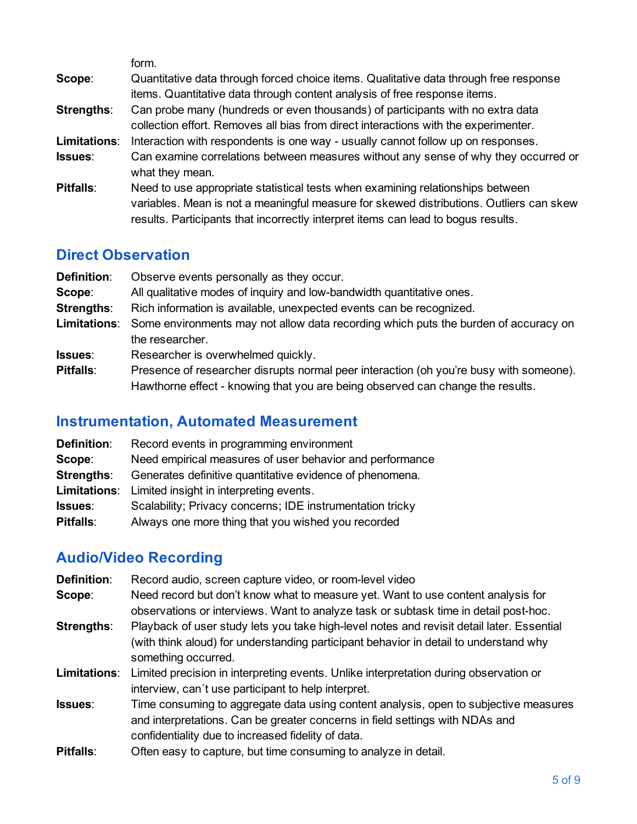|                   | form.                                                                                   |
|-------------------|-----------------------------------------------------------------------------------------|
| Scope:            | Quantitative data through forced choice items. Qualitative data through free response   |
|                   | items. Quantitative data through content analysis of free response items.               |
| <b>Strengths:</b> | Can probe many (hundreds or even thousands) of participants with no extra data          |
|                   | collection effort. Removes all bias from direct interactions with the experimenter.     |
| Limitations:      | Interaction with respondents is one way - usually cannot follow up on responses.        |
| <b>Issues:</b>    | Can examine correlations between measures without any sense of why they occurred or     |
|                   | what they mean.                                                                         |
| <b>Pitfalls:</b>  | Need to use appropriate statistical tests when examining relationships between          |
|                   | variables. Mean is not a meaningful measure for skewed distributions. Outliers can skew |
|                   | results. Participants that incorrectly interpret items can lead to bogus results.       |

#### **Direct Observation**

| <b>Definition:</b> | Observe events personally as they occur.                                               |
|--------------------|----------------------------------------------------------------------------------------|
| Scope:             | All qualitative modes of inquiry and low-bandwidth quantitative ones.                  |
| Strengths:         | Rich information is available, unexpected events can be recognized.                    |
| Limitations:       | Some environments may not allow data recording which puts the burden of accuracy on    |
|                    | the researcher.                                                                        |
| <b>Issues:</b>     | Researcher is overwhelmed quickly.                                                     |
| Pitfalls:          | Presence of researcher disrupts normal peer interaction (oh you're busy with someone). |
|                    | Hawthorne effect - knowing that you are being observed can change the results.         |

## **Instrumentation, Automated Measurement**

| <b>Definition:</b> | Record events in programming environment                  |
|--------------------|-----------------------------------------------------------|
| Scope:             | Need empirical measures of user behavior and performance  |
| Strengths:         | Generates definitive quantitative evidence of phenomena.  |
| Limitations:       | Limited insight in interpreting events.                   |
| <b>Issues:</b>     | Scalability; Privacy concerns; IDE instrumentation tricky |
| <b>Pitfalls:</b>   | Always one more thing that you wished you recorded        |

## **Audio/Video Recording**

| <b>Definition:</b> | Record audio, screen capture video, or room-level video                                                                                                                                                                    |
|--------------------|----------------------------------------------------------------------------------------------------------------------------------------------------------------------------------------------------------------------------|
| Scope:             | Need record but don't know what to measure yet. Want to use content analysis for<br>observations or interviews. Want to analyze task or subtask time in detail post-hoc.                                                   |
| Strengths:         | Playback of user study lets you take high-level notes and revisit detail later. Essential<br>(with think aloud) for understanding participant behavior in detail to understand why<br>something occurred.                  |
| Limitations:       | Limited precision in interpreting events. Unlike interpretation during observation or<br>interview, can't use participant to help interpret.                                                                               |
| <b>Issues:</b>     | Time consuming to aggregate data using content analysis, open to subjective measures<br>and interpretations. Can be greater concerns in field settings with NDAs and<br>confidentiality due to increased fidelity of data. |
| <b>Pitfalls:</b>   | Often easy to capture, but time consuming to analyze in detail.                                                                                                                                                            |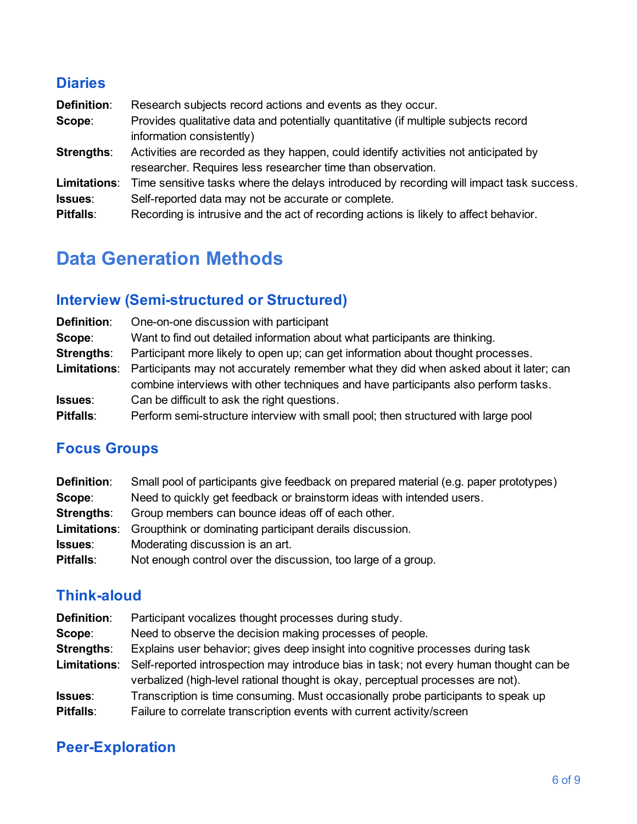### **Diaries**

| <b>Definition:</b> | Research subjects record actions and events as they occur.                              |
|--------------------|-----------------------------------------------------------------------------------------|
| Scope:             | Provides qualitative data and potentially quantitative (if multiple subjects record     |
|                    | information consistently)                                                               |
| <b>Strengths:</b>  | Activities are recorded as they happen, could identify activities not anticipated by    |
|                    | researcher. Requires less researcher time than observation.                             |
| Limitations:       | Time sensitive tasks where the delays introduced by recording will impact task success. |
| Issues:            | Self-reported data may not be accurate or complete.                                     |
| <b>Pitfalls:</b>   | Recording is intrusive and the act of recording actions is likely to affect behavior.   |
|                    |                                                                                         |

## **Data Generation Methods**

## **Interview (Semistructured or Structured)**

| <b>Definition:</b>  | One-on-one discussion with participant                                                                                                                                      |
|---------------------|-----------------------------------------------------------------------------------------------------------------------------------------------------------------------------|
| Scope:              | Want to find out detailed information about what participants are thinking.                                                                                                 |
| <b>Strengths:</b>   | Participant more likely to open up; can get information about thought processes.                                                                                            |
| <b>Limitations:</b> | Participants may not accurately remember what they did when asked about it later; can<br>combine interviews with other techniques and have participants also perform tasks. |
| Issues:             | Can be difficult to ask the right questions.                                                                                                                                |
| Pitfalls:           | Perform semi-structure interview with small pool; then structured with large pool                                                                                           |

## **Focus Groups**

| <b>Definition:</b> | Small pool of participants give feedback on prepared material (e.g. paper prototypes) |
|--------------------|---------------------------------------------------------------------------------------|
| Scope:             | Need to quickly get feedback or brainstorm ideas with intended users.                 |
| <b>Strengths:</b>  | Group members can bounce ideas off of each other.                                     |
| Limitations:       | Groupthink or dominating participant derails discussion.                              |
| <b>Issues:</b>     | Moderating discussion is an art.                                                      |
| <b>Pitfalls:</b>   | Not enough control over the discussion, too large of a group.                         |

### **Think-aloud**

| <b>Definition:</b>  | Participant vocalizes thought processes during study.                                                                                                                     |
|---------------------|---------------------------------------------------------------------------------------------------------------------------------------------------------------------------|
| Scope:              | Need to observe the decision making processes of people.                                                                                                                  |
| <b>Strengths:</b>   | Explains user behavior; gives deep insight into cognitive processes during task                                                                                           |
| <b>Limitations:</b> | Self-reported introspection may introduce bias in task; not every human thought can be<br>verbalized (high-level rational thought is okay, perceptual processes are not). |
| <b>Issues</b> :     | Transcription is time consuming. Must occasionally probe participants to speak up                                                                                         |
| <b>Pitfalls:</b>    | Failure to correlate transcription events with current activity/screen                                                                                                    |

## **Peer-Exploration**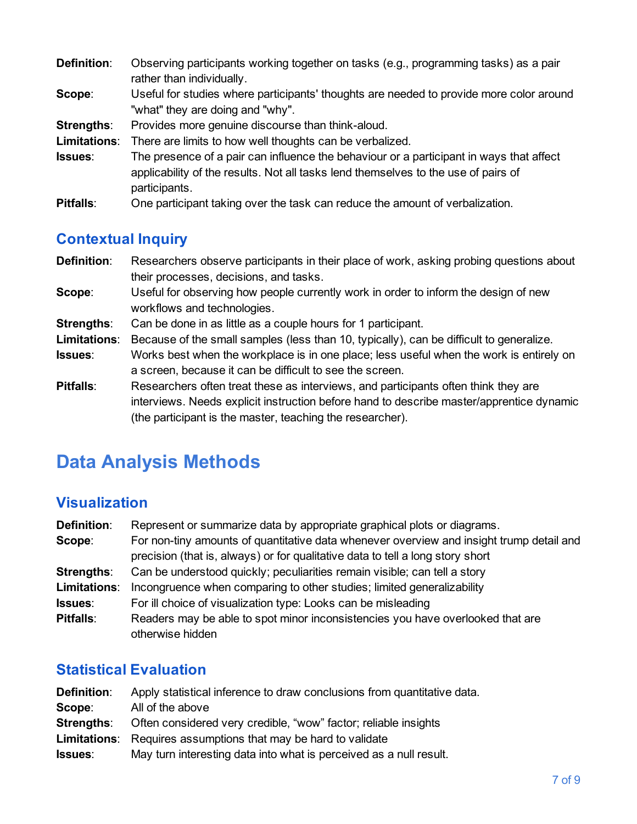| <b>Definition:</b> | Observing participants working together on tasks (e.g., programming tasks) as a pair<br>rather than individually.                                                                              |
|--------------------|------------------------------------------------------------------------------------------------------------------------------------------------------------------------------------------------|
| Scope:             | Useful for studies where participants' thoughts are needed to provide more color around<br>"what" they are doing and "why".                                                                    |
| Strengths:         | Provides more genuine discourse than think-aloud.                                                                                                                                              |
| Limitations:       | There are limits to how well thoughts can be verbalized.                                                                                                                                       |
| Issues:            | The presence of a pair can influence the behaviour or a participant in ways that affect<br>applicability of the results. Not all tasks lend themselves to the use of pairs of<br>participants. |
| <b>Pitfalls:</b>   | One participant taking over the task can reduce the amount of verbalization.                                                                                                                   |

### **Contextual Inquiry**

- **Definition:** Researchers observe participants in their place of work, asking probing questions about their processes, decisions, and tasks.
- **Scope:** Useful for observing how people currently work in order to inform the design of new workflows and technologies.
- **Strengths:** Can be done in as little as a couple hours for 1 participant.
- **Limitations**: Because of the small samples (less than 10, typically), can be difficult to generalize.
- **Issues**: Works best when the workplace is in one place; less useful when the work is entirely on a screen, because it can be difficult to see the screen.
- **Pitfalls:** Researchers often treat these as interviews, and participants often think they are interviews. Needs explicit instruction before hand to describe master/apprentice dynamic (the participant is the master, teaching the researcher).

## **Data Analysis Methods**

### **Visualization**

| <b>Definition:</b> | Represent or summarize data by appropriate graphical plots or diagrams.                                                                                                    |
|--------------------|----------------------------------------------------------------------------------------------------------------------------------------------------------------------------|
| Scope:             | For non-tiny amounts of quantitative data whenever overview and insight trump detail and<br>precision (that is, always) or for qualitative data to tell a long story short |
| Strengths:         | Can be understood quickly; peculiarities remain visible; can tell a story                                                                                                  |
| Limitations:       | Incongruence when comparing to other studies; limited generalizability                                                                                                     |
| Issues:            | For ill choice of visualization type: Looks can be misleading                                                                                                              |
| <b>Pitfalls:</b>   | Readers may be able to spot minor inconsistencies you have overlooked that are<br>otherwise hidden                                                                         |

### **Statistical Evaluation**

| <b>Definition:</b> | Apply statistical inference to draw conclusions from quantitative data. |
|--------------------|-------------------------------------------------------------------------|
| Scope:             | All of the above                                                        |
| Strengths:         | Often considered very credible, "wow" factor; reliable insights         |
|                    | <b>Limitations:</b> Requires assumptions that may be hard to validate   |
| <b>Issues</b> :    | May turn interesting data into what is perceived as a null result.      |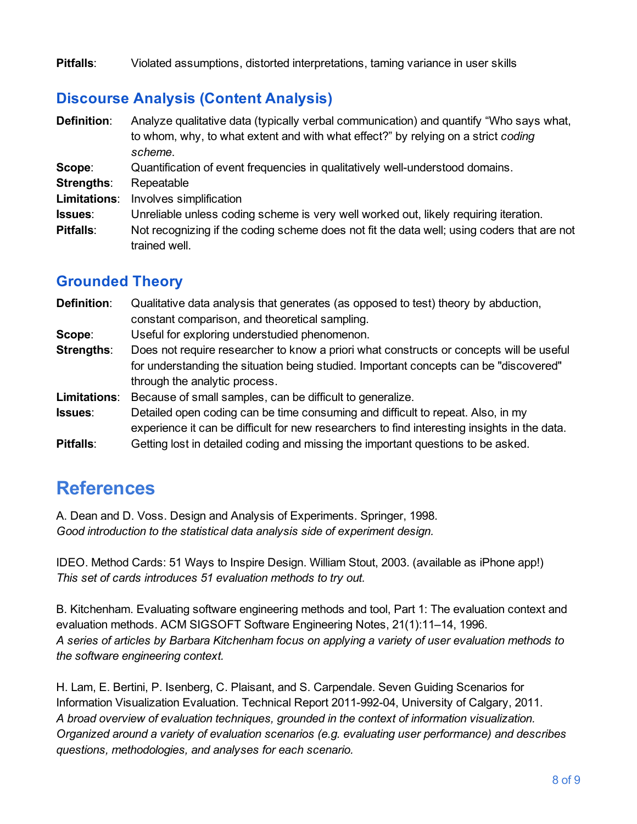**Pitfalls**: Violated assumptions, distorted interpretations, taming variance in user skills

### **Discourse Analysis (Content Analysis)**

| <b>Definition:</b> | Analyze qualitative data (typically verbal communication) and quantify "Who says what,<br>to whom, why, to what extent and with what effect?" by relying on a strict coding<br>scheme. |
|--------------------|----------------------------------------------------------------------------------------------------------------------------------------------------------------------------------------|
| Scope:             | Quantification of event frequencies in qualitatively well-understood domains.                                                                                                          |
| <b>Strengths:</b>  | Repeatable                                                                                                                                                                             |
| Limitations:       | Involves simplification                                                                                                                                                                |
| Issues:            | Unreliable unless coding scheme is very well worked out, likely requiring iteration.                                                                                                   |
| Pitfalls:          | Not recognizing if the coding scheme does not fit the data well; using coders that are not<br>trained well.                                                                            |

### **Grounded Theory**

| <b>Definition:</b> | Qualitative data analysis that generates (as opposed to test) theory by abduction,           |
|--------------------|----------------------------------------------------------------------------------------------|
|                    | constant comparison, and theoretical sampling.                                               |
| Scope:             | Useful for exploring understudied phenomenon.                                                |
| Strengths:         | Does not require researcher to know a priori what constructs or concepts will be useful      |
|                    | for understanding the situation being studied. Important concepts can be "discovered"        |
|                    | through the analytic process.                                                                |
| Limitations:       | Because of small samples, can be difficult to generalize.                                    |
| <b>Issues:</b>     | Detailed open coding can be time consuming and difficult to repeat. Also, in my              |
|                    | experience it can be difficult for new researchers to find interesting insights in the data. |
| Pitfalls:          | Getting lost in detailed coding and missing the important questions to be asked.             |
|                    |                                                                                              |

## **References**

A. Dean and D. Voss. Design and Analysis of Experiments. Springer, 1998. *Good introduction to the statistical data analysis side of experiment design.*

IDEO. Method Cards: 51 Ways to Inspire Design. William Stout, 2003. (available as iPhone app!) *This set of cards introduces 51 evaluation methods to try out.*

B. Kitchenham. Evaluating software engineering methods and tool, Part 1: The evaluation context and evaluation methods. ACM SIGSOFT Software Engineering Notes, 21(1):11–14, 1996. *A series of articles by Barbara Kitchenham focus on applying a variety of user evaluation methods to the software engineering context.*

H. Lam, E. Bertini, P. Isenberg, C. Plaisant, and S. Carpendale. Seven Guiding Scenarios for Information Visualization Evaluation. Technical Report 2011-992-04, University of Calgary, 2011. *A broad overview of evaluation techniques, grounded in the context of information visualization. Organized around a variety of evaluation scenarios (e.g. evaluating user performance) and describes questions, methodologies, and analyses for each scenario.*